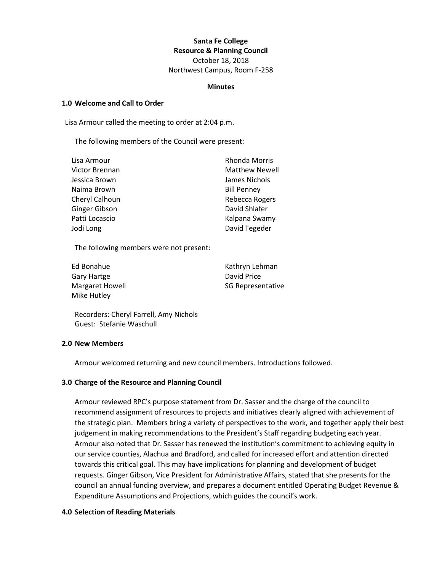## **Santa Fe College Resource & Planning Council**

October 18, 2018 Northwest Campus, Room F-258

#### **Minutes**

### **1.0 Welcome and Call to Order**

Lisa Armour called the meeting to order at 2:04 p.m.

The following members of the Council were present:

| Lisa Armour    | <b>Rhonda Morris</b>  |
|----------------|-----------------------|
| Victor Brennan | <b>Matthew Newell</b> |
| Jessica Brown  | James Nichols         |
| Naima Brown    | <b>Bill Penney</b>    |
| Cheryl Calhoun | Rebecca Rogers        |
| Ginger Gibson  | David Shlafer         |
| Patti Locascio | Kalpana Swamy         |
| Jodi Long      | David Tegeder         |

The following members were not present:

| Ed Bonahue      | Kathryn Lehman           |
|-----------------|--------------------------|
| Gary Hartge     | David Price              |
| Margaret Howell | <b>SG Representative</b> |
| Mike Hutley     |                          |

Recorders: Cheryl Farrell, Amy Nichols Guest: Stefanie Waschull

## **2.0 New Members**

Armour welcomed returning and new council members. Introductions followed.

### **3.0 Charge of the Resource and Planning Council**

Armour reviewed RPC's purpose statement from Dr. Sasser and the charge of the council to recommend assignment of resources to projects and initiatives clearly aligned with achievement of the strategic plan. Members bring a variety of perspectives to the work, and together apply their best judgement in making recommendations to the President's Staff regarding budgeting each year. Armour also noted that Dr. Sasser has renewed the institution's commitment to achieving equity in our service counties, Alachua and Bradford, and called for increased effort and attention directed towards this critical goal. This may have implications for planning and development of budget requests. Ginger Gibson, Vice President for Administrative Affairs, stated that she presents for the council an annual funding overview, and prepares a document entitled Operating Budget Revenue & Expenditure Assumptions and Projections, which guides the council's work.

#### **4.0 Selection of Reading Materials**